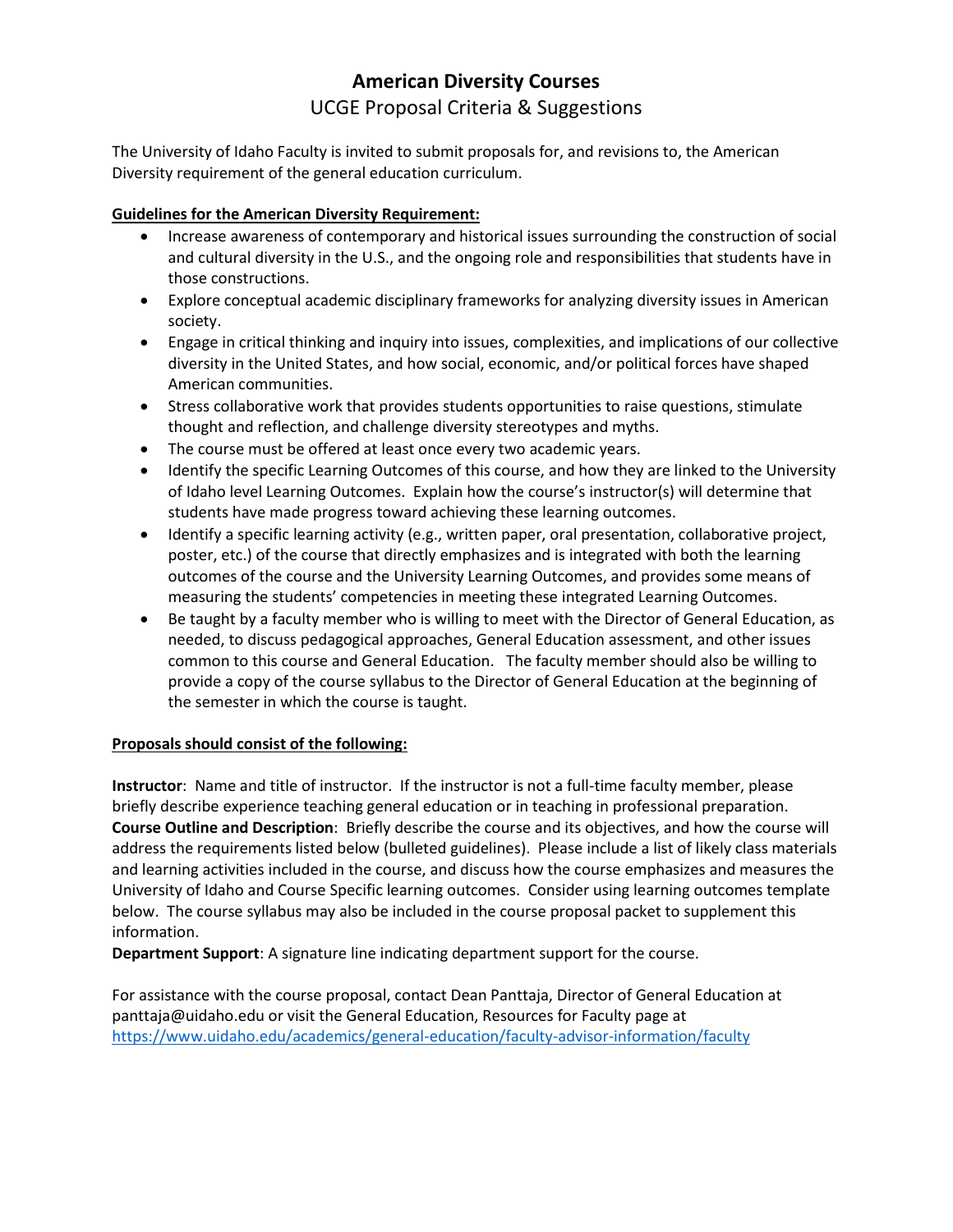## **American Diversity Courses** UCGE Proposal Criteria & Suggestions

The University of Idaho Faculty is invited to submit proposals for, and revisions to, the American Diversity requirement of the general education curriculum.

## **Guidelines for the American Diversity Requirement:**

- Increase awareness of contemporary and historical issues surrounding the construction of social and cultural diversity in the U.S., and the ongoing role and responsibilities that students have in those constructions.
- Explore conceptual academic disciplinary frameworks for analyzing diversity issues in American society.
- Engage in critical thinking and inquiry into issues, complexities, and implications of our collective diversity in the United States, and how social, economic, and/or political forces have shaped American communities.
- Stress collaborative work that provides students opportunities to raise questions, stimulate thought and reflection, and challenge diversity stereotypes and myths.
- The course must be offered at least once every two academic years.
- Identify the specific Learning Outcomes of this course, and how they are linked to the University of Idaho level Learning Outcomes. Explain how the course's instructor(s) will determine that students have made progress toward achieving these learning outcomes.
- Identify a specific learning activity (e.g., written paper, oral presentation, collaborative project, poster, etc.) of the course that directly emphasizes and is integrated with both the learning outcomes of the course and the University Learning Outcomes, and provides some means of measuring the students' competencies in meeting these integrated Learning Outcomes.
- Be taught by a faculty member who is willing to meet with the Director of General Education, as needed, to discuss pedagogical approaches, General Education assessment, and other issues common to this course and General Education. The faculty member should also be willing to provide a copy of the course syllabus to the Director of General Education at the beginning of the semester in which the course is taught.

## **Proposals should consist of the following:**

**Instructor**: Name and title of instructor. If the instructor is not a full-time faculty member, please briefly describe experience teaching general education or in teaching in professional preparation. **Course Outline and Description**: Briefly describe the course and its objectives, and how the course will address the requirements listed below (bulleted guidelines). Please include a list of likely class materials and learning activities included in the course, and discuss how the course emphasizes and measures the University of Idaho and Course Specific learning outcomes. Consider using learning outcomes template below. The course syllabus may also be included in the course proposal packet to supplement this information.

**Department Support**: A signature line indicating department support for the course.

For assistance with the course proposal, contact Dean Panttaja, Director of General Education at panttaja@uidaho.edu or visit the General Education, Resources for Faculty page at <https://www.uidaho.edu/academics/general-education/faculty-advisor-information/faculty>